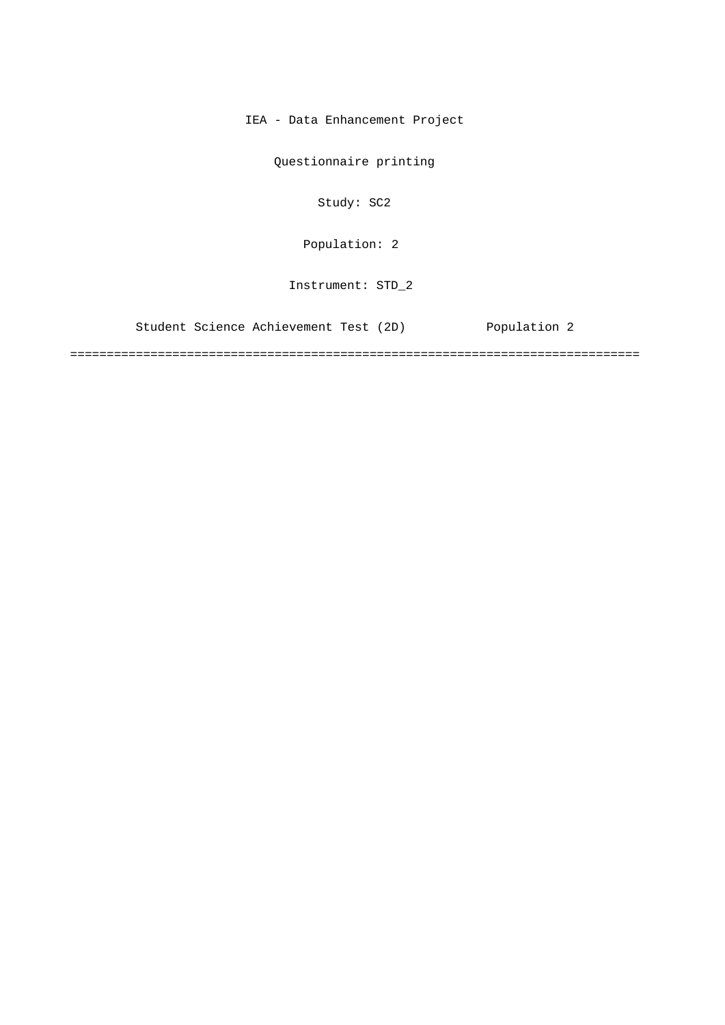IEA - Data Enhancement Project

Questionnaire printing

Study: SC2

Population: 2

Instrument: STD\_2

Student Science Achievement Test (2D) Population 2

==============================================================================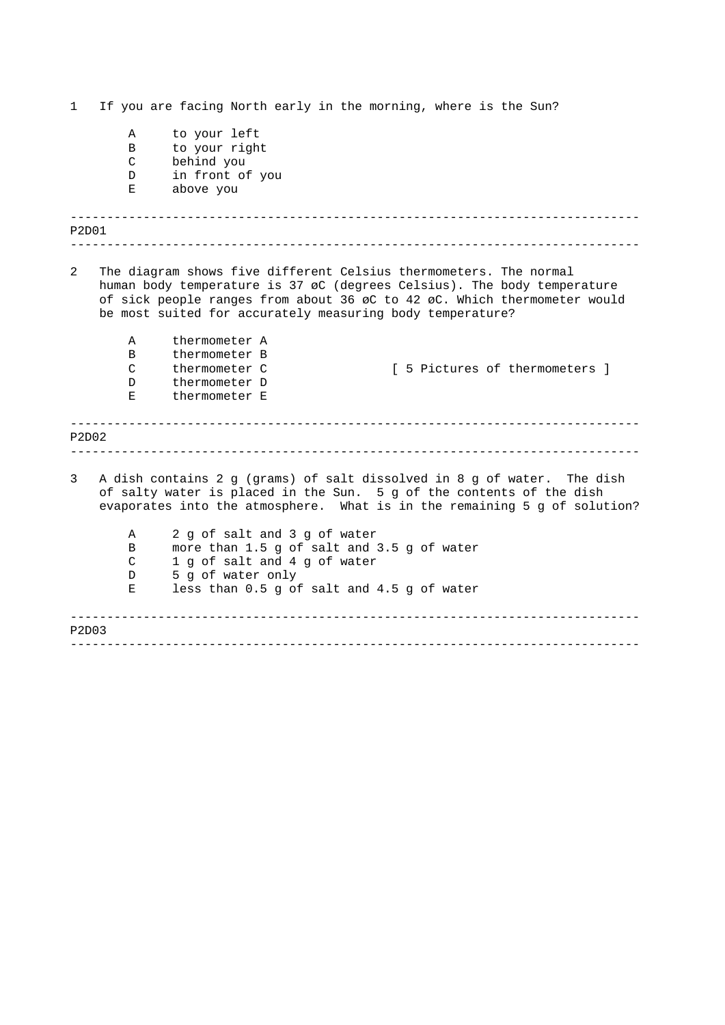------------------------------------------------------------------------------ ------------------------------------------------------------------------------ ------------------------------------------------------------------------------ ------------------------------------------------------------------------------ ------------------------------------------------------------------------------ ------------------------------------------------------------------------------ 1 If you are facing North early in the morning, where is the Sun? A to your left B to your right C behind you D in front of you E above you P2D01 2 The diagram shows five different Celsius thermometers. The normal human body temperature is 37 øC (degrees Celsius). The body temperature of sick people ranges from about 36 øC to 42 øC. Which thermometer would be most suited for accurately measuring body temperature? A thermometer A B thermometer B C thermometer C [ 5 Pictures of thermometers ] D thermometer D E thermometer E P2D02 3 A dish contains 2 g (grams) of salt dissolved in 8 g of water. The dish of salty water is placed in the Sun. 5 g of the contents of the dish evaporates into the atmosphere. What is in the remaining 5 g of solution? A 2 g of salt and 3 g of water B more than 1.5 g of salt and 3.5 g of water C 1 g of salt and 4 g of water D 5 g of water only E less than 0.5 g of salt and 4.5 g of water P2D03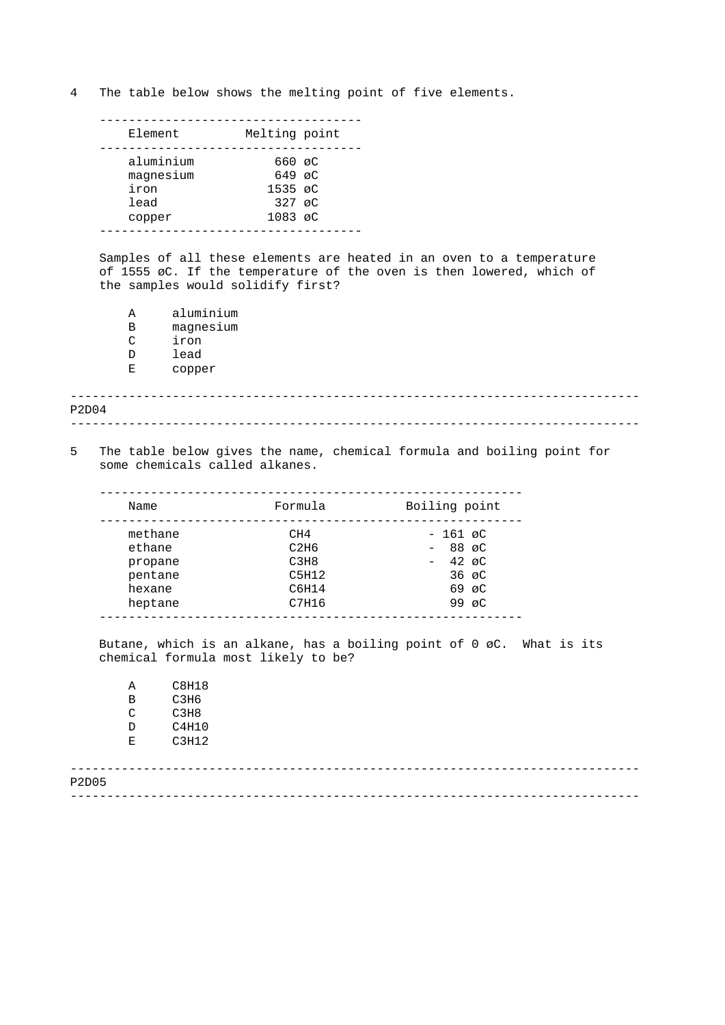4 The table below shows the melting point of five elements.

| Melting point<br>Element<br>aluminium<br>660 øC<br>$649$ $\alpha$ C<br>magnesium<br>iron<br>$1535 \, \text{aC}$<br>$327 \, \text{C}$<br>lead<br>1083 øC<br>copper |  |  |
|-------------------------------------------------------------------------------------------------------------------------------------------------------------------|--|--|
|                                                                                                                                                                   |  |  |
|                                                                                                                                                                   |  |  |

Samples of all these elements are heated in an oven to a temperature of 1555 øC. If the temperature of the oven is then lowered, which of the samples would solidify first?

A aluminium B magnesium C iron D lead E copper

------------------------------------------------------------------------------ ------------------------------------------------------------------------------ P2D04

5 The table below gives the name, chemical formula and boiling point for some chemicals called alkanes.

| Name    | Formula | Boiling point     |
|---------|---------|-------------------|
| methane | CH4     | $-161$ øC         |
| ethane  | C2H6    | $-88$ øC          |
| propane | C3H8    | $-42 \, \text{C}$ |
| pentane | C5H12   | $36 \, \text{pC}$ |
| hexane  | C6H14   | $69 \, \text{aC}$ |
| heptane | C7H16   | 99 $\alpha$ C     |

Butane, which is an alkane, has a boiling point of 0 øC. What is its chemical formula most likely to be?

A C8H18 B C3H6 C C3H8 D C4H10 E C3H12

| P2D05 |  |
|-------|--|
|       |  |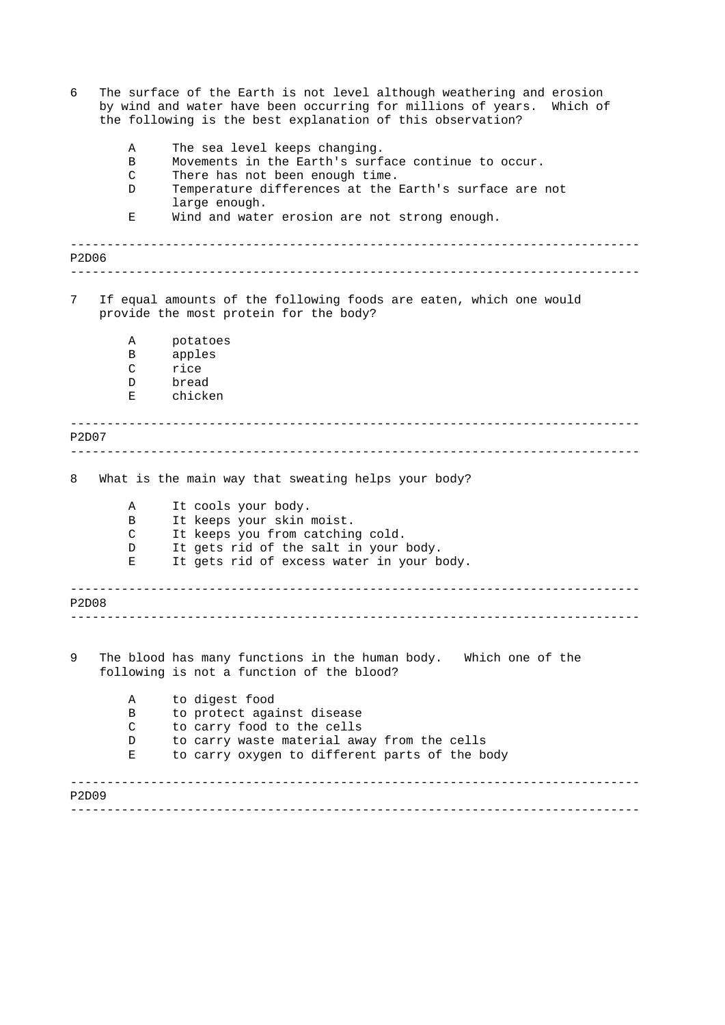| 6          |              | The surface of the Earth is not level although weathering and erosion<br>by wind and water have been occurring for millions of years.<br>Which of<br>the following is the best explanation of this observation? |  |
|------------|--------------|-----------------------------------------------------------------------------------------------------------------------------------------------------------------------------------------------------------------|--|
|            | Α            | The sea level keeps changing.                                                                                                                                                                                   |  |
|            | B            | Movements in the Earth's surface continue to occur.                                                                                                                                                             |  |
|            | C            | There has not been enough time.                                                                                                                                                                                 |  |
|            | D            | Temperature differences at the Earth's surface are not<br>large enough.                                                                                                                                         |  |
|            | Ε            | Wind and water erosion are not strong enough.                                                                                                                                                                   |  |
| P2D06      |              |                                                                                                                                                                                                                 |  |
| 7          |              | If equal amounts of the following foods are eaten, which one would<br>provide the most protein for the body?                                                                                                    |  |
|            | Α            | potatoes                                                                                                                                                                                                        |  |
|            | В            | apples                                                                                                                                                                                                          |  |
|            | $\mathsf{C}$ | rice                                                                                                                                                                                                            |  |
|            | D            | bread                                                                                                                                                                                                           |  |
|            | Ε            | chicken                                                                                                                                                                                                         |  |
| P2D07<br>8 |              | What is the main way that sweating helps your body?                                                                                                                                                             |  |
|            |              |                                                                                                                                                                                                                 |  |
|            | Α            | It cools your body.                                                                                                                                                                                             |  |
|            | В            | It keeps your skin moist.                                                                                                                                                                                       |  |
|            | C            | It keeps you from catching cold.                                                                                                                                                                                |  |
|            | D            | It gets rid of the salt in your body.                                                                                                                                                                           |  |
|            | Е            | It gets rid of excess water in your body.                                                                                                                                                                       |  |
| P2D08      |              |                                                                                                                                                                                                                 |  |
| 9          |              | The blood has many functions in the human body. Which one of the<br>following is not a function of the blood?                                                                                                   |  |
|            | Α            | to digest food                                                                                                                                                                                                  |  |
|            | В            | to protect against disease                                                                                                                                                                                      |  |
|            | C            | to carry food to the cells                                                                                                                                                                                      |  |
|            | D            | to carry waste material away from the cells                                                                                                                                                                     |  |
|            | Е            | to carry oxygen to different parts of the body                                                                                                                                                                  |  |
| P2D09      |              |                                                                                                                                                                                                                 |  |
|            |              |                                                                                                                                                                                                                 |  |